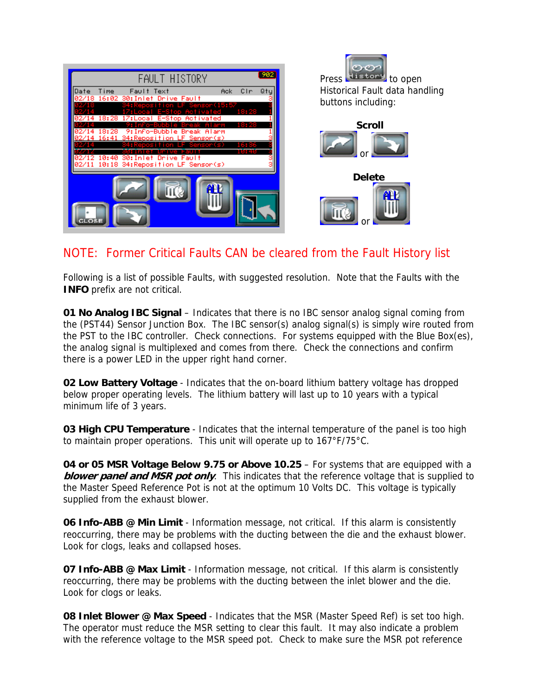| FAULT HISTORY                                                                                         |      | 902 |
|-------------------------------------------------------------------------------------------------------|------|-----|
| Time<br>Ack.<br>Date<br>Fault Text<br>Drive Fault<br>16:02<br>30: Inlet                               | CIn  | Qty |
| 5:57<br>18:28<br>Activated<br>17:Local<br>E-Ston                                                      | 8:28 |     |
| 'n=Buhh<br>515<br>Info-Bubble<br>18:28<br>Break<br>Alarm<br>9:<br>16:41 34:Reposition<br>.F Sensor(s) |      |     |
| 10:40<br>зя                                                                                           |      |     |
| Drive Fault<br>Intet<br>10:18 34:Reposition LF Sensor(s)                                              |      |     |
| <b>CLOSE</b>                                                                                          |      |     |

Press History to open Historical Fault data handling buttons including:





## NOTE: Former Critical Faults CAN be cleared from the Fault History list

Following is a list of possible Faults, with suggested resolution. Note that the Faults with the **INFO** prefix are not critical.

**01 No Analog IBC Signal** – Indicates that there is no IBC sensor analog signal coming from the (PST44) Sensor Junction Box. The IBC sensor(s) analog signal(s) is simply wire routed from the PST to the IBC controller. Check connections. For systems equipped with the Blue Box(es), the analog signal is multiplexed and comes from there. Check the connections and confirm there is a power LED in the upper right hand corner.

**02 Low Battery Voltage** - Indicates that the on-board lithium battery voltage has dropped below proper operating levels. The lithium battery will last up to 10 years with a typical minimum life of 3 years.

**03 High CPU Temperature** - Indicates that the internal temperature of the panel is too high to maintain proper operations. This unit will operate up to 167°F/75°C.

**04 or 05 MSR Voltage Below 9.75 or Above 10.25** – For systems that are equipped with a **blower panel and MSR pot only**. This indicates that the reference voltage that is supplied to the Master Speed Reference Pot is not at the optimum 10 Volts DC. This voltage is typically supplied from the exhaust blower.

**06 Info-ABB @ Min Limit** - Information message, not critical. If this alarm is consistently reoccurring, there may be problems with the ducting between the die and the exhaust blower. Look for clogs, leaks and collapsed hoses.

**07 Info-ABB @ Max Limit** - Information message, not critical. If this alarm is consistently reoccurring, there may be problems with the ducting between the inlet blower and the die. Look for clogs or leaks.

**08 Inlet Blower @ Max Speed** - Indicates that the MSR (Master Speed Ref) is set too high. The operator must reduce the MSR setting to clear this fault. It may also indicate a problem with the reference voltage to the MSR speed pot. Check to make sure the MSR pot reference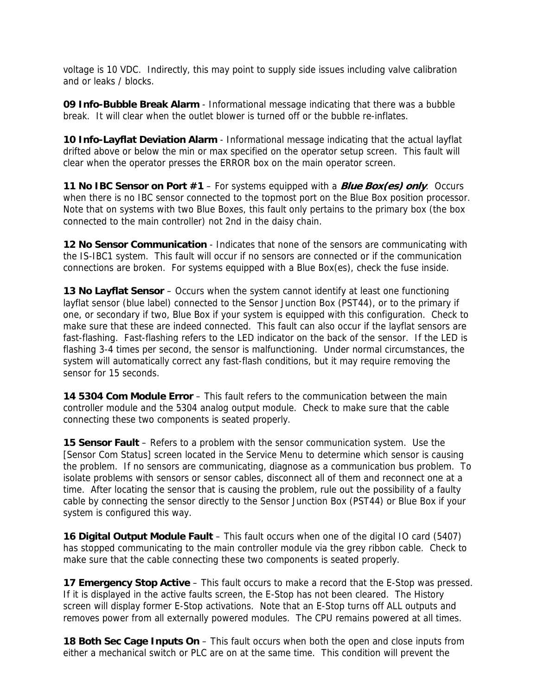voltage is 10 VDC. Indirectly, this may point to supply side issues including valve calibration and or leaks / blocks.

**09 Info-Bubble Break Alarm** - Informational message indicating that there was a bubble break. It will clear when the outlet blower is turned off or the bubble re-inflates.

**10 Info-Layflat Deviation Alarm** - Informational message indicating that the actual layflat drifted above or below the min or max specified on the operator setup screen. This fault will clear when the operator presses the ERROR box on the main operator screen.

**11 No IBC Sensor on Port #1** – For systems equipped with a **Blue Box(es) only**. Occurs when there is no IBC sensor connected to the topmost port on the Blue Box position processor. Note that on systems with two Blue Boxes, this fault only pertains to the primary box (the box connected to the main controller) not 2nd in the daisy chain.

**12 No Sensor Communication** - Indicates that none of the sensors are communicating with the IS-IBC1 system. This fault will occur if no sensors are connected or if the communication connections are broken. For systems equipped with a Blue Box(es), check the fuse inside.

**13 No Layflat Sensor** – Occurs when the system cannot identify at least one functioning layflat sensor (blue label) connected to the Sensor Junction Box (PST44), or to the primary if one, or secondary if two, Blue Box if your system is equipped with this configuration. Check to make sure that these are indeed connected. This fault can also occur if the layflat sensors are fast-flashing. Fast-flashing refers to the LED indicator on the back of the sensor. If the LED is flashing 3-4 times per second, the sensor is malfunctioning. Under normal circumstances, the system will automatically correct any fast-flash conditions, but it may require removing the sensor for 15 seconds.

**14 5304 Com Module Error** – This fault refers to the communication between the main controller module and the 5304 analog output module. Check to make sure that the cable connecting these two components is seated properly.

**15 Sensor Fault** – Refers to a problem with the sensor communication system. Use the [Sensor Com Status] screen located in the Service Menu to determine which sensor is causing the problem. If no sensors are communicating, diagnose as a communication bus problem. To isolate problems with sensors or sensor cables, disconnect all of them and reconnect one at a time. After locating the sensor that is causing the problem, rule out the possibility of a faulty cable by connecting the sensor directly to the Sensor Junction Box (PST44) or Blue Box if your system is configured this way.

**16 Digital Output Module Fault** – This fault occurs when one of the digital IO card (5407) has stopped communicating to the main controller module via the grey ribbon cable. Check to make sure that the cable connecting these two components is seated properly.

**17 Emergency Stop Active** – This fault occurs to make a record that the E-Stop was pressed. If it is displayed in the active faults screen, the E-Stop has not been cleared. The History screen will display former E-Stop activations. Note that an E-Stop turns off ALL outputs and removes power from all externally powered modules. The CPU remains powered at all times.

**18 Both Sec Cage Inputs On** – This fault occurs when both the open and close inputs from either a mechanical switch or PLC are on at the same time. This condition will prevent the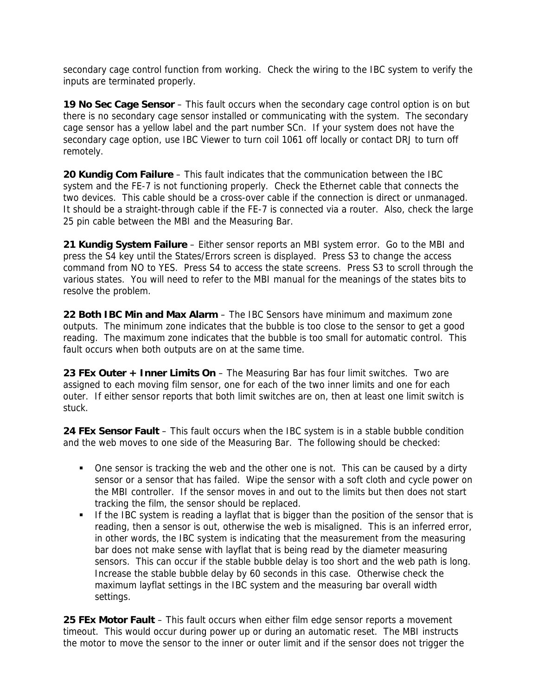secondary cage control function from working. Check the wiring to the IBC system to verify the inputs are terminated properly.

**19 No Sec Cage Sensor** – This fault occurs when the secondary cage control option is on but there is no secondary cage sensor installed or communicating with the system. The secondary cage sensor has a yellow label and the part number SCn. If your system does not have the secondary cage option, use IBC Viewer to turn coil 1061 off locally or contact DRJ to turn off remotely.

**20 Kundig Com Failure** – This fault indicates that the communication between the IBC system and the FE-7 is not functioning properly. Check the Ethernet cable that connects the two devices. This cable should be a cross-over cable if the connection is direct or unmanaged. It should be a straight-through cable if the FE-7 is connected via a router. Also, check the large 25 pin cable between the MBI and the Measuring Bar.

**21 Kundig System Failure** – Either sensor reports an MBI system error. Go to the MBI and press the S4 key until the States/Errors screen is displayed. Press S3 to change the access command from NO to YES. Press S4 to access the state screens. Press S3 to scroll through the various states. You will need to refer to the MBI manual for the meanings of the states bits to resolve the problem.

**22 Both IBC Min and Max Alarm** – The IBC Sensors have minimum and maximum zone outputs. The minimum zone indicates that the bubble is too close to the sensor to get a good reading. The maximum zone indicates that the bubble is too small for automatic control. This fault occurs when both outputs are on at the same time.

**23 FEx Outer + Inner Limits On** – The Measuring Bar has four limit switches. Two are assigned to each moving film sensor, one for each of the two inner limits and one for each outer. If either sensor reports that both limit switches are on, then at least one limit switch is stuck.

**24 FEx Sensor Fault** – This fault occurs when the IBC system is in a stable bubble condition and the web moves to one side of the Measuring Bar. The following should be checked:

- One sensor is tracking the web and the other one is not. This can be caused by a dirty sensor or a sensor that has failed. Wipe the sensor with a soft cloth and cycle power on the MBI controller. If the sensor moves in and out to the limits but then does not start tracking the film, the sensor should be replaced.
- If the IBC system is reading a layflat that is bigger than the position of the sensor that is reading, then a sensor is out, otherwise the web is misaligned. This is an inferred error, in other words, the IBC system is indicating that the measurement from the measuring bar does not make sense with layflat that is being read by the diameter measuring sensors. This can occur if the stable bubble delay is too short and the web path is long. Increase the stable bubble delay by 60 seconds in this case. Otherwise check the maximum layflat settings in the IBC system and the measuring bar overall width settings.

**25 FEx Motor Fault** – This fault occurs when either film edge sensor reports a movement timeout. This would occur during power up or during an automatic reset. The MBI instructs the motor to move the sensor to the inner or outer limit and if the sensor does not trigger the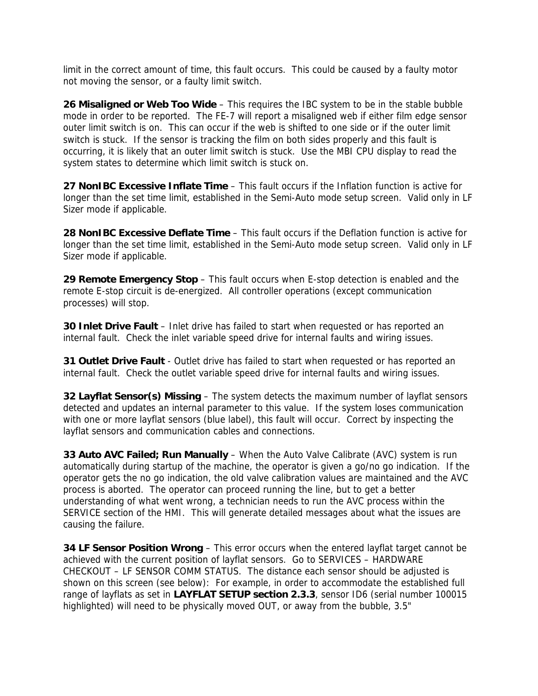limit in the correct amount of time, this fault occurs. This could be caused by a faulty motor not moving the sensor, or a faulty limit switch.

**26 Misaligned or Web Too Wide** – This requires the IBC system to be in the stable bubble mode in order to be reported. The FE-7 will report a misaligned web if either film edge sensor outer limit switch is on. This can occur if the web is shifted to one side or if the outer limit switch is stuck. If the sensor is tracking the film on both sides properly and this fault is occurring, it is likely that an outer limit switch is stuck. Use the MBI CPU display to read the system states to determine which limit switch is stuck on.

**27 NonIBC Excessive Inflate Time** – This fault occurs if the Inflation function is active for longer than the set time limit, established in the Semi-Auto mode setup screen. Valid only in LF Sizer mode if applicable.

**28 NonIBC Excessive Deflate Time** – This fault occurs if the Deflation function is active for longer than the set time limit, established in the Semi-Auto mode setup screen. Valid only in LF Sizer mode if applicable.

**29 Remote Emergency Stop** – This fault occurs when E-stop detection is enabled and the remote E-stop circuit is de-energized. All controller operations (except communication processes) will stop.

**30 Inlet Drive Fault** – Inlet drive has failed to start when requested or has reported an internal fault. Check the inlet variable speed drive for internal faults and wiring issues.

**31 Outlet Drive Fault** - Outlet drive has failed to start when requested or has reported an internal fault. Check the outlet variable speed drive for internal faults and wiring issues.

**32 Layflat Sensor(s) Missing** – The system detects the maximum number of layflat sensors detected and updates an internal parameter to this value. If the system loses communication with one or more layflat sensors (blue label), this fault will occur. Correct by inspecting the layflat sensors and communication cables and connections.

**33 Auto AVC Failed; Run Manually** – When the Auto Valve Calibrate (AVC) system is run automatically during startup of the machine, the operator is given a go/no go indication. If the operator gets the no go indication, the old valve calibration values are maintained and the AVC process is aborted. The operator can proceed running the line, but to get a better understanding of what went wrong, a technician needs to run the AVC process within the SERVICE section of the HMI. This will generate detailed messages about what the issues are causing the failure.

**34 LF Sensor Position Wrong** – This error occurs when the entered layflat target cannot be achieved with the current position of layflat sensors. Go to SERVICES – HARDWARE CHECKOUT – LF SENSOR COMM STATUS. The distance each sensor should be adjusted is shown on this screen (see below): For example, in order to accommodate the established full range of layflats as set in **LAYFLAT SETUP section 2.3.3**, sensor ID6 (serial number 100015 highlighted) will need to be physically moved OUT, or away from the bubble, 3.5"